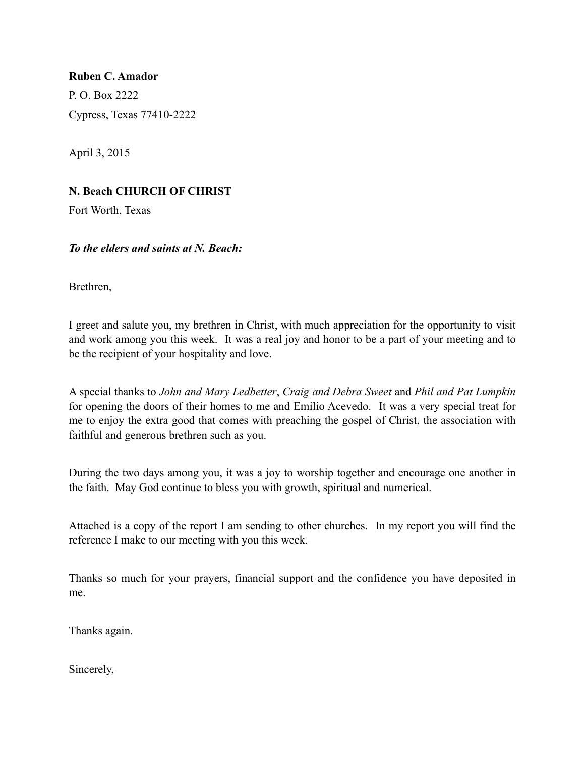**Ruben C. Amador** P. O. Box 2222 Cypress, Texas 77410-2222

April 3, 2015

# **N. Beach CHURCH OF CHRIST**

Fort Worth, Texas

### *To the elders and saints at N. Beach:*

Brethren,

I greet and salute you, my brethren in Christ, with much appreciation for the opportunity to visit and work among you this week. It was a real joy and honor to be a part of your meeting and to be the recipient of your hospitality and love.

A special thanks to *John and Mary Ledbetter*, *Craig and Debra Sweet* and *Phil and Pat Lumpkin* for opening the doors of their homes to me and Emilio Acevedo. It was a very special treat for me to enjoy the extra good that comes with preaching the gospel of Christ, the association with faithful and generous brethren such as you.

During the two days among you, it was a joy to worship together and encourage one another in the faith. May God continue to bless you with growth, spiritual and numerical.

Attached is a copy of the report I am sending to other churches. In my report you will find the reference I make to our meeting with you this week.

Thanks so much for your prayers, financial support and the confidence you have deposited in me.

Thanks again.

Sincerely,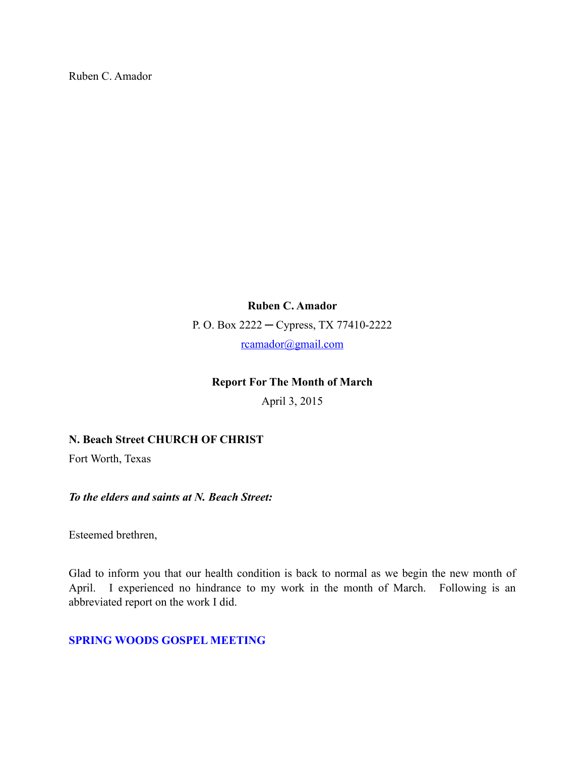Ruben C. Amador

**Ruben C. Amador** P. O. Box 2222 ─ Cypress, TX 77410-2222 [rcamador@gmail.com](mailto:rcamador@gmail.com)

### **Report For The Month of March**

April 3, 2015

#### **N. Beach Street CHURCH OF CHRIST**

Fort Worth, Texas

*To the elders and saints at N. Beach Street:*

Esteemed brethren,

Glad to inform you that our health condition is back to normal as we begin the new month of April. I experienced no hindrance to my work in the month of March. Following is an abbreviated report on the work I did.

#### **SPRING WOODS GOSPEL MEETING**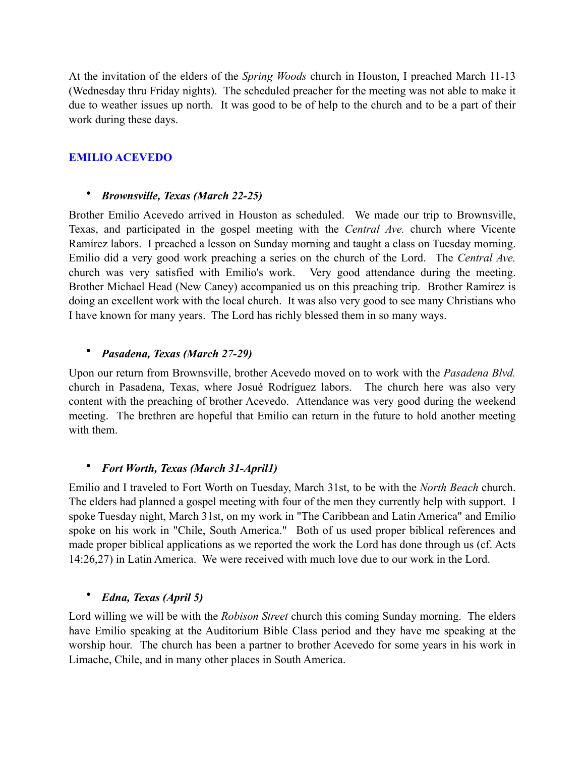At the invitation of the elders of the *Spring Woods* church in Houston, I preached March 11-13 (Wednesday thru Friday nights). The scheduled preacher for the meeting was not able to make it due to weather issues up north. It was good to be of help to the church and to be a part of their work during these days.

# **EMILIO ACEVEDO**

#### • *Brownsville, Texas (March 22-25)*

Brother Emilio Acevedo arrived in Houston as scheduled. We made our trip to Brownsville, Texas, and participated in the gospel meeting with the *Central Ave.* church where Vicente Ramírez labors. I preached a lesson on Sunday morning and taught a class on Tuesday morning. Emilio did a very good work preaching a series on the church of the Lord. The *Central Ave.* church was very satisfied with Emilio's work. Very good attendance during the meeting. Brother Michael Head (New Caney) accompanied us on this preaching trip. Brother Ramírez is doing an excellent work with the local church. It was also very good to see many Christians who I have known for many years. The Lord has richly blessed them in so many ways.

### • *Pasadena, Texas (March 27-29)*

Upon our return from Brownsville, brother Acevedo moved on to work with the *Pasadena Blvd.* church in Pasadena, Texas, where Josué Rodríguez labors. The church here was also very content with the preaching of brother Acevedo. Attendance was very good during the weekend meeting. The brethren are hopeful that Emilio can return in the future to hold another meeting with them.

### • *Fort Worth, Texas (March 31-April1)*

Emilio and I traveled to Fort Worth on Tuesday, March 31st, to be with the *North Beach* church. The elders had planned a gospel meeting with four of the men they currently help with support. I spoke Tuesday night, March 31st, on my work in "The Caribbean and Latin America" and Emilio spoke on his work in "Chile, South America." Both of us used proper biblical references and made proper biblical applications as we reported the work the Lord has done through us (cf. Acts 14:26,27) in Latin America. We were received with much love due to our work in the Lord.

### • *Edna, Texas (April 5)*

Lord willing we will be with the *Robison Street* church this coming Sunday morning. The elders have Emilio speaking at the Auditorium Bible Class period and they have me speaking at the worship hour. The church has been a partner to brother Acevedo for some years in his work in Limache, Chile, and in many other places in South America.